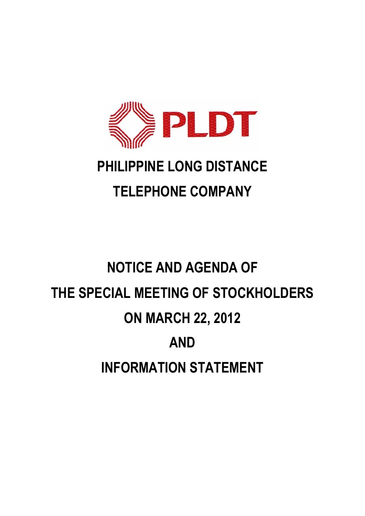

## **PHILIPPINE LONG DISTANCE**

## **TELEPHONE COMPANY**

# **NOTICE AND AGENDA OF THE SPECIAL MEETING OF STOCKHOLDERS ON MARCH 22, 2012 AND INFORMATION STATEMENT**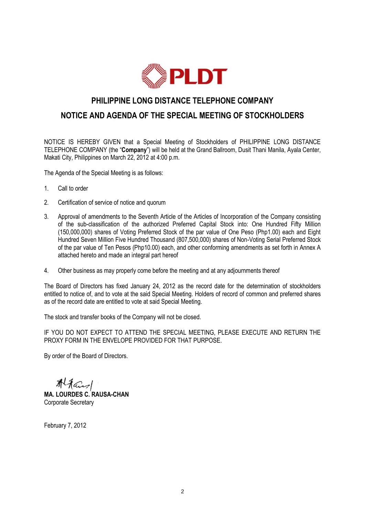

## **PHILIPPINE LONG DISTANCE TELEPHONE COMPANY**

## **NOTICE AND AGENDA OF THE SPECIAL MEETING OF STOCKHOLDERS**

NOTICE IS HEREBY GIVEN that a Special Meeting of Stockholders of PHILIPPINE LONG DISTANCE TELEPHONE COMPANY (the "**Company**") will be held at the Grand Ballroom, Dusit Thani Manila, Ayala Center, Makati City, Philippines on March 22, 2012 at 4:00 p.m.

The Agenda of the Special Meeting is as follows:

- 1. Call to order
- 2. Certification of service of notice and quorum
- 3. Approval of amendments to the Seventh Article of the Articles of Incorporation of the Company consisting of the sub-classification of the authorized Preferred Capital Stock into: One Hundred Fifty Million (150,000,000) shares of Voting Preferred Stock of the par value of One Peso (Php1.00) each and Eight Hundred Seven Million Five Hundred Thousand (807,500,000) shares of Non-Voting Serial Preferred Stock of the par value of Ten Pesos (Php10.00) each, and other conforming amendments as set forth in Annex A attached hereto and made an integral part hereof
- 4. Other business as may properly come before the meeting and at any adjournments thereof

The Board of Directors has fixed January 24, 2012 as the record date for the determination of stockholders entitled to notice of, and to vote at the said Special Meeting. Holders of record of common and preferred shares as of the record date are entitled to vote at said Special Meeting.

The stock and transfer books of the Company will not be closed.

IF YOU DO NOT EXPECT TO ATTEND THE SPECIAL MEETING, PLEASE EXECUTE AND RETURN THE PROXY FORM IN THE ENVELOPE PROVIDED FOR THAT PURPOSE.

By order of the Board of Directors.

Altans

**MA. LOURDES C. RAUSA-CHAN** Corporate Secretary

February 7, 2012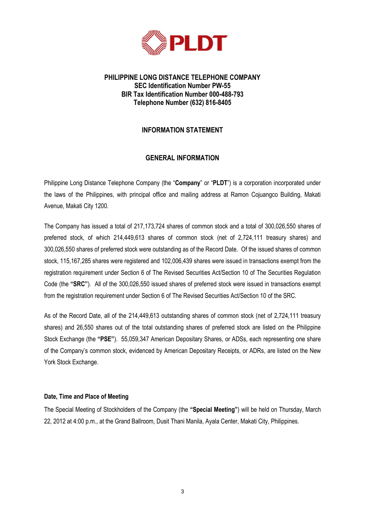

## **PHILIPPINE LONG DISTANCE TELEPHONE COMPANY SEC Identification Number PW-55 BIR Tax Identification Number 000-488-793 Telephone Number (632) 816-8405**

## **INFORMATION STATEMENT**

## **GENERAL INFORMATION**

Philippine Long Distance Telephone Company (the "**Company**" or "**PLDT**") is a corporation incorporated under the laws of the Philippines, with principal office and mailing address at Ramon Cojuangco Building, Makati Avenue, Makati City 1200.

The Company has issued a total of 217,173,724 shares of common stock and a total of 300,026,550 shares of preferred stock, of which 214,449,613 shares of common stock (net of 2,724,111 treasury shares) and 300,026,550 shares of preferred stock were outstanding as of the Record Date. Of the issued shares of common stock, 115,167,285 shares were registered and 102,006,439 shares were issued in transactions exempt from the registration requirement under Section 6 of The Revised Securities Act/Section 10 of The Securities Regulation Code (the **"SRC"**). All of the 300,026,550 issued shares of preferred stock were issued in transactions exempt from the registration requirement under Section 6 of The Revised Securities Act/Section 10 of the SRC.

As of the Record Date, all of the 214,449,613 outstanding shares of common stock (net of 2,724,111 treasury shares) and 26,550 shares out of the total outstanding shares of preferred stock are listed on the Philippine Stock Exchange (the **"PSE"**). 55,059,347 American Depositary Shares, or ADSs, each representing one share of the Company's common stock, evidenced by American Depositary Receipts, or ADRs, are listed on the New York Stock Exchange.

## **Date, Time and Place of Meeting**

The Special Meeting of Stockholders of the Company (the **"Special Meeting"**) will be held on Thursday, March 22, 2012 at 4:00 p.m., at the Grand Ballroom, Dusit Thani Manila, Ayala Center, Makati City, Philippines.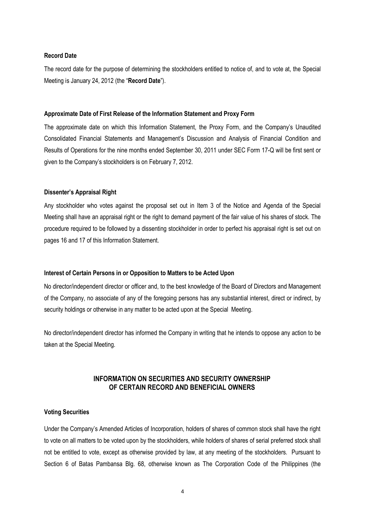#### **Record Date**

The record date for the purpose of determining the stockholders entitled to notice of, and to vote at, the Special Meeting is January 24, 2012 (the "**Record Date**").

#### **Approximate Date of First Release of the Information Statement and Proxy Form**

The approximate date on which this Information Statement, the Proxy Form, and the Company's Unaudited Consolidated Financial Statements and Management's Discussion and Analysis of Financial Condition and Results of Operations for the nine months ended September 30, 2011 under SEC Form 17-Q will be first sent or given to the Company's stockholders is on February 7, 2012.

#### **Dissenter's Appraisal Right**

Any stockholder who votes against the proposal set out in Item 3 of the Notice and Agenda of the Special Meeting shall have an appraisal right or the right to demand payment of the fair value of his shares of stock. The procedure required to be followed by a dissenting stockholder in order to perfect his appraisal right is set out on pages 16 and 17 of this Information Statement.

#### **Interest of Certain Persons in or Opposition to Matters to be Acted Upon**

No director/independent director or officer and, to the best knowledge of the Board of Directors and Management of the Company, no associate of any of the foregoing persons has any substantial interest, direct or indirect, by security holdings or otherwise in any matter to be acted upon at the Special Meeting.

No director/independent director has informed the Company in writing that he intends to oppose any action to be taken at the Special Meeting.

## **INFORMATION ON SECURITIES AND SECURITY OWNERSHIP OF CERTAIN RECORD AND BENEFICIAL OWNERS**

#### **Voting Securities**

Under the Company's Amended Articles of Incorporation, holders of shares of common stock shall have the right to vote on all matters to be voted upon by the stockholders, while holders of shares of serial preferred stock shall not be entitled to vote, except as otherwise provided by law, at any meeting of the stockholders. Pursuant to Section 6 of Batas Pambansa Blg. 68, otherwise known as The Corporation Code of the Philippines (the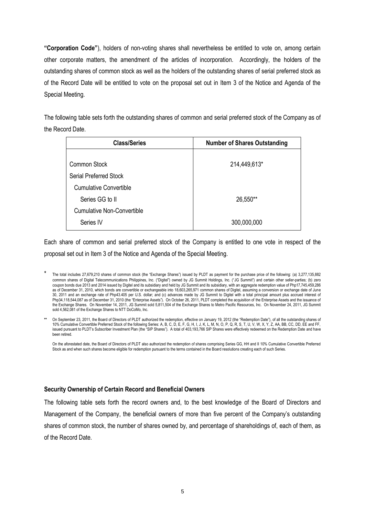**"Corporation Code"**), holders of non-voting shares shall nevertheless be entitled to vote on, among certain other corporate matters, the amendment of the articles of incorporation. Accordingly, the holders of the outstanding shares of common stock as well as the holders of the outstanding shares of serial preferred stock as of the Record Date will be entitled to vote on the proposal set out in Item 3 of the Notice and Agenda of the Special Meeting.

The following table sets forth the outstanding shares of common and serial preferred stock of the Company as of the Record Date.

| <b>Class/Series</b>           | <b>Number of Shares Outstanding</b> |  |  |
|-------------------------------|-------------------------------------|--|--|
|                               |                                     |  |  |
| Common Stock                  | 214,449,613*                        |  |  |
| <b>Serial Preferred Stock</b> |                                     |  |  |
| <b>Cumulative Convertible</b> |                                     |  |  |
| Series GG to II               | 26,550**                            |  |  |
| Cumulative Non-Convertible    |                                     |  |  |
| Series IV                     | 300,000,000                         |  |  |
|                               |                                     |  |  |

Each share of common and serial preferred stock of the Company is entitled to one vote in respect of the proposal set out in Item 3 of the Notice and Agenda of the Special Meeting.

On the aforestated date, the Board of Directors of PLDT also authorized the redemption of shares comprising Series GG, HH and II 10% Cumulative Convertible Preferred Stock as and when such shares become eligible for redemption pursuant to the terms contained in the Board resolutions creating each of such Series.

#### **Security Ownership of Certain Record and Beneficial Owners**

The following table sets forth the record owners and, to the best knowledge of the Board of Directors and Management of the Company, the beneficial owners of more than five percent of the Company's outstanding shares of common stock, the number of shares owned by, and percentage of shareholdings of, each of them, as of the Record Date.

<sup>\*</sup> The total includes 27,679,210 shares of common stock (the "Exchange Shares") issued by PLDT as payment for the purchase price of the following: (a) 3,277,135,882 common shares of Digital Telecommunications Philippines, Inc. ("Digitel") owned by JG Summit Holdings, Inc. ("JG Summit") and certain other seller-parties; (b) zero coupon bonds due 2013 and 2014 issued by Digitel and its subsidiary and held by JG Summit and its subsidiary, with an aggregate redemption value of Php17,745,459,286 as of December 31, 2010, which bonds are convertible or exchangeable into 18,603,265,971 common shares of Digitel, assuming a conversion or exchange date of June 30, 2011 and an exchange rate of Php43.405 per U.S. dollar; and (c) advances made by JG Summit to Digitel with a total principal amount plus accrued interest of Php34,118,544,087 as of December 31, 2010 (the "Enterprise Assets"). On October 26, 2011, PLDT completed the acquisition of the Enterprise Assets and the issuance of the Exchange Shares. On November 14, 2011, JG Summit sold 5,811,504 of the Exchange Shares to Metro Pacific Resources, Inc. On November 24, 2011, JG Summit sold 4,562,081 of the Exchange Shares to NTT DoCoMo, Inc.

**<sup>\*\*</sup>** On September 23, 2011, the Board of Directors of PLDT authorized the redemption, effective on January 19, 2012 (the "Redemption Date"), of all the outstanding shares of 10% Cumulative Convertible Preferred Stock of the following Series: A, B, C, D, E, F, G, H, I, J, K, L, M, N, O, P, Q, R, S, T, U, V, W, X, Y, Z, AA, BB, CC, DD, EE and FF, issued pursuant to PLDT's Subscriber Investment Plan (the "SIP Shares"). A total of 403,193,766 SIP Shares were effectively redeemed on the Redemption Date and have been retired.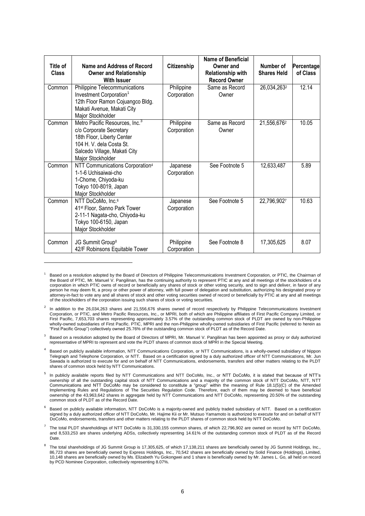| Title of<br><b>Class</b> | Name and Address of Record<br><b>Owner and Relationship</b><br><b>With Issuer</b>                                                                                                    | Citizenship               | <b>Name of Beneficial</b><br>Owner and<br><b>Relationship with</b><br><b>Record Owner</b> | Number of<br><b>Shares Held</b> | Percentage<br>of Class |
|--------------------------|--------------------------------------------------------------------------------------------------------------------------------------------------------------------------------------|---------------------------|-------------------------------------------------------------------------------------------|---------------------------------|------------------------|
| Common                   | Philippine Telecommunications<br>Investment Corporation <sup>1</sup><br>12th Floor Ramon Cojuangco Bldg.<br>Makati Avenue, Makati City<br>Major Stockholder                          | Philippine<br>Corporation | Same as Record<br>Owner                                                                   | 26,034,2632                     | 12.14                  |
| Common                   | Metro Pacific Resources, Inc. <sup>3</sup><br>c/o Corporate Secretary<br>18th Floor, Liberty Center<br>104 H. V. dela Costa St.<br>Salcedo Village, Makati City<br>Major Stockholder | Philippine<br>Corporation | Same as Record<br>Owner                                                                   | 21,556,6762                     | 10.05                  |
| Common                   | NTT Communications Corporation <sup>4</sup><br>1-1-6 Uchisaiwai-cho<br>1-Chome, Chiyoda-ku<br>Tokyo 100-8019, Japan<br>Major Stockholder                                             | Japanese<br>Corporation   | See Footnote 5                                                                            | 12,633,487                      | 5.89                   |
| Common                   | NTT DoCoMo, Inc. <sup>6</sup><br>41 <sup>st</sup> Floor, Sanno Park Tower<br>2-11-1 Nagata-cho, Chiyoda-ku<br>Tokyo 100-6150, Japan<br>Major Stockholder                             | Japanese<br>Corporation   | See Footnote 5                                                                            | 22,796,9027                     | 10.63                  |
| Common                   | JG Summit Group <sup>8</sup><br>42/F Robinsons Equitable Tower                                                                                                                       | Philippine<br>Corporation | See Footnote 8                                                                            | 17,305,625                      | 8.07                   |

Based on a resolution adopted by the Board of Directors of Philippine Telecommunications Investment Corporation, or PTIC, the Chairman of the Board of PTIC, Mr. Manuel V. Pangilinan, has the continuing authority to represent PTIC at any and all meetings of the stockholders of a corporation in which PTIC owns of record or beneficially any shares of stock or other voting security, and to sign and deliver, in favor of any person he may deem fit, a proxy or other power of attorney, with full power of delegation and substitution, authorizing his designated proxy or attorney-in-fact to vote any and all shares of stock and other voting securities owned of record or beneficially by PTIC at any and all meetings of the stockholders of the corporation issuing such shares of stock or voting securities.

<sup>2</sup> In addition to the 26,034,263 shares and 21,556,676 shares owned of record respectively by Philippine Telecommunications Investment Corporation, or PTIC, and Metro Pacific Resources, Inc., or MPRI, both of which are Philippine affiliates of First Pacific Company Limited, or First Pacific, 7,653,703 shares representing approximately 3.57% of the outstanding common stock of PLDT are owned by non-Philippine wholly-owned subsidiaries of First Pacific. PTIC, MPRI and the non-Philippine wholly-owned subsidiaries of First Pacific (referred to herein as "First Pacific Group") collectively owned 25.76% of the outstanding common stock of PLDT as of the Record Date.

 $3$  Based on a resolution adopted by the Board of Directors of MPRI, Mr. Manuel V. Pangilinan has been appointed as proxy or duly authorized representative of MPRI to represent and vote the PLDT shares of common stock of MPRI in the Special Meeting.

<sup>4</sup> Based on publicly available information, NTT Communications Corporation, or NTT Communications, is a wholly-owned subsidiary of Nippon Telegraph and Telephone Corporation, or NTT. Based on a certification signed by a duly authorized officer of NTT Communications, Mr. Jun Sawada is authorized to execute for and on behalf of NTT Communications, endorsements, transfers and other matters relating to the PLDT shares of common stock held by NTT Communications.

<sup>5</sup> In publicly available reports filed by NTT Communications and NTT DoCoMo, Inc., or NTT DoCoMo, it is stated that because of NTT's ownership of all the outstanding capital stock of NTT Communications and a majority of the common stock of NTT DoCoMo, NTT, NTT Communications and NTT DoCoMo may be considered to constitute a "group" within the meaning of Rule 18.1(5)(C) of the Amended Implementing Rules and Regulations of The Securities Regulation Code. Therefore, each of them may be deemed to have beneficial ownership of the 43,963,642 shares in aggregate held by NTT Communications and NTT DoCoMo, representing 20.50% of the outstanding common stock of PLDT as of the Record Date.

<sup>6</sup> Based on publicly available information, NTT DoCoMo is a majority-owned and publicly traded subsidiary of NTT. Based on a certification signed by a duly authorized officer of NTT DoCoMo, Mr. Hajime Kii or Mr. Mutsuo Yamamoto is authorized to execute for and on behalf of NTT DoCoMo, endorsements, transfers and other matters relating to the PLDT shares of common stock held by NTT DoCoMo.

 $^7$  The total PLDT shareholdings of NTT DoCoMo is 31,330,155 common shares, of which 22,796,902 are owned on record by NTT DoCoMo, and 8,533,253 are shares underlying ADSs, collectively representing 14.61% of the outstanding common stock of PLDT as of the Record Date.

<sup>8</sup> The total shareholdings of JG Summit Group is 17,305,625, of which 17,138,211 shares are beneficially owned by JG Summit Holdings, Inc., 86,723 shares are beneficially owned by Express Holdings, Inc., 70,542 shares are beneficially owned by Solid Finance (Holdings), Limited, 10,148 shares are beneficially owned by Ms. Elizabeth Yu Gokongwei and 1 share is beneficially owned by Mr. James L. Go, all held on record by PCD Nominee Corporation, collectively representing 8.07%.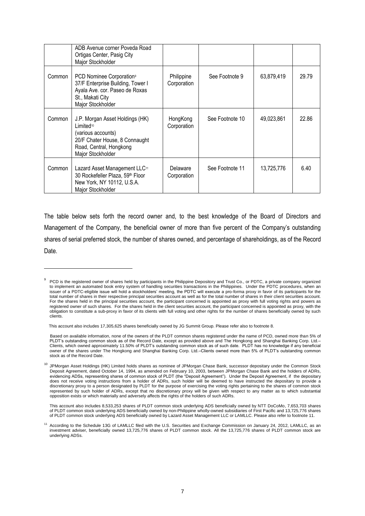|        | ADB Avenue corner Poveda Road<br>Ortigas Center, Pasig City<br>Major Stockholder                                                                                 |                           |                 |            |       |
|--------|------------------------------------------------------------------------------------------------------------------------------------------------------------------|---------------------------|-----------------|------------|-------|
| Common | PCD Nominee Corporation <sup>9</sup><br>37/F Enterprise Building, Tower I<br>Ayala Ave. cor. Paseo de Roxas<br>St., Makati City<br>Major Stockholder             | Philippine<br>Corporation | See Footnote 9  | 63,879,419 | 29.79 |
| Common | J.P. Morgan Asset Holdings (HK)<br>Limited <sup>10</sup><br>(various accounts)<br>20/F Chater House, 8 Connaught<br>Road, Central, Hongkong<br>Major Stockholder | HongKong<br>Corporation   | See Footnote 10 | 49,023,861 | 22.86 |
| Common | Lazard Asset Management LLC <sup>11</sup><br>30 Rockefeller Plaza, 59th Floor<br>New York, NY 10112, U.S.A.<br>Major Stockholder                                 | Delaware<br>Corporation   | See Footnote 11 | 13,725,776 | 6.40  |

The table below sets forth the record owner and, to the best knowledge of the Board of Directors and Management of the Company, the beneficial owner of more than five percent of the Company's outstanding shares of serial preferred stock, the number of shares owned, and percentage of shareholdings, as of the Record Date.

<sup>9</sup> PCD is the registered owner of shares held by participants in the Philippine Depository and Trust Co., or PDTC, a private company organized to implement an automated book entry system of handling securities transactions in the Philippines. Under the PDTC procedures, when an issuer of a PDTC-eligible issue will hold a stockholders' meeting, the PDTC will execute a pro-forma proxy in favor of its participants for the total number of shares in their respective principal securities account as well as for the total number of shares in their client securities account. For the shares held in the principal securities account, the participant concerned is appointed as proxy with full voting rights and powers as registered owner of such shares. For the shares held in the client securities account, the participant concerned is appointed as proxy, with the obligation to constitute a sub-proxy in favor of its clients with full voting and other rights for the number of shares beneficially owned by such clients.

This account also includes 17,305,625 shares beneficially owned by JG Summit Group. Please refer also to footnote 8.

Based on available information, none of the owners of the PLDT common shares registered under the name of PCD, owned more than 5% of PLDT's outstanding common stock as of the Record Date, except as provided above and The Hongkong and Shanghai Banking Corp. Ltd.– Clients, which owned approximately 11.50% of PLDT's outstanding common stock as of such date. PLDT has no knowledge if any beneficial owner of the shares under The Hongkong and Shanghai Banking Corp. Ltd.–Clients owned more than 5% of PLDT's outstanding common stock as of the Record Date.

<sup>&</sup>lt;sup>10</sup> JPMorgan Asset Holdings (HK) Limited holds shares as nominee of JPMorgan Chase Bank, successor depositary under the Common Stock Deposit Agreement, dated October 14, 1994, as amended on February 10, 2003, between JPMorgan Chase Bank and the holders of ADRs, evidencing ADSs, representing shares of common stock of PLDT (the "Deposit Agreement"). Under the Deposit Agreement, if the depositary does not receive voting instructions from a holder of ADRs, such holder will be deemed to have instructed the depositary to provide a discretionary proxy to a person designated by PLDT for the purpose of exercising the voting rights pertaining to the shares of common stock represented by such holder of ADRs, except that no discretionary proxy will be given with respect to any matter as to which substantial opposition exists or which materially and adversely affects the rights of the holders of such ADRs.

This account also includes 8,533,253 shares of PLDT common stock underlying ADS beneficially owned by NTT DoCoMo, 7,653,703 shares of PLDT common stock underlying ADS beneficially owned by non-Philippine wholly-owned subsidiaries of First Pacific and 13,725,776 shares of PLDT common stock underlying ADS beneficially owned by Lazard Asset Management LLC or LAMLLC. Please also refer to footnote 11.

<sup>&</sup>lt;sup>11</sup> According to the Schedule 13G of LAMLLC filed with the U.S. Securities and Exchange Commission on January 24, 2012, LAMLLC, as an investment adviser, beneficially owned 13,725,776 shares of PLDT common stock. All the 13,725,776 shares of PLDT common stock are underlying ADSs.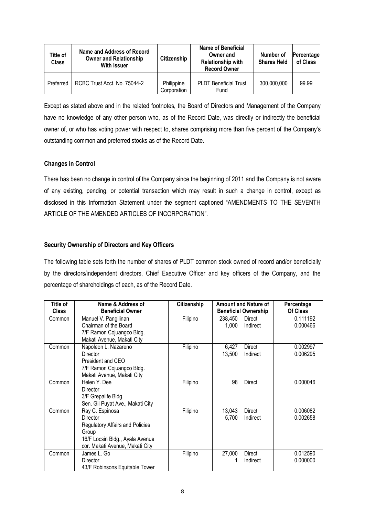| Title of<br><b>Class</b> | Name and Address of Record<br><b>Owner and Relationship</b><br><b>With Issuer</b> | Citizenship               | <b>Name of Beneficial</b><br>Owner and<br><b>Relationship with</b><br><b>Record Owner</b> | Number of<br><b>Shares Held</b> | Percentage<br>of Class |
|--------------------------|-----------------------------------------------------------------------------------|---------------------------|-------------------------------------------------------------------------------------------|---------------------------------|------------------------|
| Preferred                | RCBC Trust Acct. No. 75044-2                                                      | Philippine<br>Corporation | <b>PLDT Beneficial Trust</b><br>Fund                                                      | 300,000,000                     | 99.99                  |

Except as stated above and in the related footnotes, the Board of Directors and Management of the Company have no knowledge of any other person who, as of the Record Date, was directly or indirectly the beneficial owner of, or who has voting power with respect to, shares comprising more than five percent of the Company's outstanding common and preferred stocks as of the Record Date.

## **Changes in Control**

There has been no change in control of the Company since the beginning of 2011 and the Company is not aware of any existing, pending, or potential transaction which may result in such a change in control, except as disclosed in this Information Statement under the segment captioned "AMENDMENTS TO THE SEVENTH ARTICLE OF THE AMENDED ARTICLES OF INCORPORATION".

## **Security Ownership of Directors and Key Officers**

The following table sets forth the number of shares of PLDT common stock owned of record and/or beneficially by the directors/independent directors, Chief Executive Officer and key officers of the Company, and the percentage of shareholdings of each, as of the Record Date.

| Title of     | Name & Address of                | <b>Citizenship</b> |         | <b>Amount and Nature of</b> | Percentage |
|--------------|----------------------------------|--------------------|---------|-----------------------------|------------|
| <b>Class</b> | <b>Beneficial Owner</b>          |                    |         | <b>Beneficial Ownership</b> | Of Class   |
| Common       | Manuel V. Pangilinan             | Filipino           | 238.450 | Direct                      | 0.111192   |
|              | Chairman of the Board            |                    | 1,000   | Indirect                    | 0.000466   |
|              | 7/F Ramon Cojuangco Bldg.        |                    |         |                             |            |
|              | Makati Avenue, Makati City       |                    |         |                             |            |
| Common       | Napoleon L. Nazareno             | Filipino           | 6,427   | Direct                      | 0.002997   |
|              | Director                         |                    | 13,500  | Indirect                    | 0.006295   |
|              | President and CEO                |                    |         |                             |            |
|              | 7/F Ramon Cojuangco Bldg.        |                    |         |                             |            |
|              | Makati Avenue, Makati City       |                    |         |                             |            |
| Common       | Helen Y. Dee                     | Filipino           | 98      | <b>Direct</b>               | 0.000046   |
|              | Director                         |                    |         |                             |            |
|              | 3/F Grepalife Bldg.              |                    |         |                             |            |
|              | Sen. Gil Puyat Ave., Makati City |                    |         |                             |            |
| Common       | Ray C. Espinosa                  | Filipino           | 13,043  | Direct                      | 0.006082   |
|              | <b>Director</b>                  |                    | 5,700   | Indirect                    | 0.002658   |
|              | Regulatory Affairs and Policies  |                    |         |                             |            |
|              | Group                            |                    |         |                             |            |
|              | 16/F Locsin Bldg., Ayala Avenue  |                    |         |                             |            |
|              | cor. Makati Avenue, Makati City  |                    |         |                             |            |
| Common       | James L. Go                      | Filipino           | 27,000  | Direct                      | 0.012590   |
|              | Director                         |                    |         | Indirect                    | 0.000000   |
|              | 43/F Robinsons Equitable Tower   |                    |         |                             |            |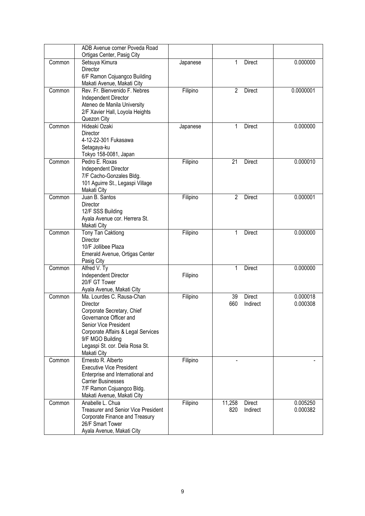|        | ADB Avenue corner Poveda Road                                 |          |                |               |           |
|--------|---------------------------------------------------------------|----------|----------------|---------------|-----------|
|        | Ortigas Center, Pasig City                                    |          |                |               |           |
| Common | Setsuya Kimura                                                | Japanese | 1              | <b>Direct</b> | 0.000000  |
|        | Director                                                      |          |                |               |           |
|        | 6/F Ramon Cojuangco Building                                  |          |                |               |           |
|        | Makati Avenue, Makati City                                    |          |                |               |           |
| Common | Rev. Fr. Bienvenido F. Nebres                                 | Filipino | $\overline{2}$ | <b>Direct</b> | 0.0000001 |
|        | Independent Director                                          |          |                |               |           |
|        | Ateneo de Manila University                                   |          |                |               |           |
|        | 2/F Xavier Hall, Loyola Heights                               |          |                |               |           |
|        | Quezon City                                                   |          |                |               |           |
| Common | Hideaki Ozaki                                                 | Japanese | 1              | <b>Direct</b> | 0.000000  |
|        | Director                                                      |          |                |               |           |
|        | 4-12-22-301 Fukasawa                                          |          |                |               |           |
|        | Setagaya-ku                                                   |          |                |               |           |
|        | Tokyo 158-0081, Japan                                         |          |                |               |           |
| Common | Pedro E. Roxas                                                | Filipino | 21             | <b>Direct</b> | 0.000010  |
|        | Independent Director                                          |          |                |               |           |
|        | 7/F Cacho-Gonzales Bldg.                                      |          |                |               |           |
|        | 101 Aguirre St., Legaspi Village                              |          |                |               |           |
|        | Makati City                                                   |          |                |               |           |
| Common | Juan B. Santos                                                | Filipino | $\overline{2}$ | <b>Direct</b> | 0.000001  |
|        | Director                                                      |          |                |               |           |
|        | 12/F SSS Building                                             |          |                |               |           |
|        | Ayala Avenue cor. Herrera St.                                 |          |                |               |           |
|        | Makati City                                                   |          |                |               |           |
| Common | <b>Tony Tan Caktiong</b>                                      | Filipino | 1              | <b>Direct</b> | 0.000000  |
|        | <b>Director</b>                                               |          |                |               |           |
|        | 10/F Jollibee Plaza                                           |          |                |               |           |
|        | Emerald Avenue, Ortigas Center                                |          |                |               |           |
|        | Pasig City                                                    |          |                |               |           |
| Common | Alfred V. Ty                                                  |          | 1              | <b>Direct</b> | 0.000000  |
|        | Independent Director                                          | Filipino |                |               |           |
|        | 20/F GT Tower                                                 |          |                |               |           |
|        | Ayala Avenue, Makati City                                     |          |                |               |           |
| Common | Ma. Lourdes C. Rausa-Chan                                     | Filipino | 39             | <b>Direct</b> | 0.000018  |
|        | Director                                                      |          | 660            | Indirect      | 0.000308  |
|        | Corporate Secretary, Chief                                    |          |                |               |           |
|        | Governance Officer and                                        |          |                |               |           |
|        | Senior Vice President                                         |          |                |               |           |
|        | Corporate Affairs & Legal Services                            |          |                |               |           |
|        | 9/F MGO Building                                              |          |                |               |           |
|        | Legaspi St. cor. Dela Rosa St.                                |          |                |               |           |
|        | Makati City                                                   |          |                |               |           |
| Common | Ernesto R. Alberto                                            | Filipino |                |               |           |
|        | <b>Executive Vice President</b>                               |          |                |               |           |
|        | Enterprise and International and<br><b>Carrier Businesses</b> |          |                |               |           |
|        |                                                               |          |                |               |           |
|        | 7/F Ramon Cojuangco Bldg.                                     |          |                |               |           |
|        | Makati Avenue, Makati City<br>Anabelle L. Chua                |          |                | <b>Direct</b> | 0.005250  |
| Common | <b>Treasurer and Senior Vice President</b>                    | Filipino | 11,258<br>820  | Indirect      | 0.000382  |
|        | Corporate Finance and Treasury                                |          |                |               |           |
|        | 26/F Smart Tower                                              |          |                |               |           |
|        | Ayala Avenue, Makati City                                     |          |                |               |           |
|        |                                                               |          |                |               |           |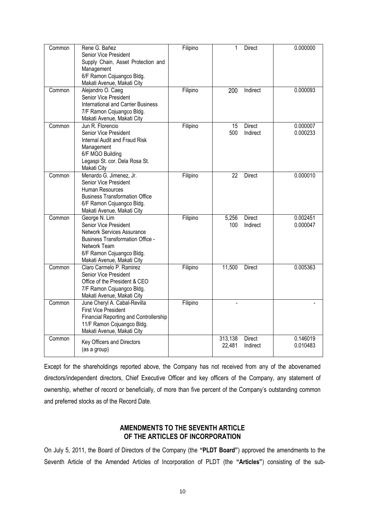| Common | Rene G. Bañez<br>Senior Vice President<br>Supply Chain, Asset Protection and<br>Management                                                                                                 | Filipino | 1                 | <b>Direct</b>             | 0.000000             |
|--------|--------------------------------------------------------------------------------------------------------------------------------------------------------------------------------------------|----------|-------------------|---------------------------|----------------------|
|        | 6/F Ramon Cojuangco Bldg.<br>Makati Avenue, Makati City                                                                                                                                    |          |                   |                           |                      |
| Common | Alejandro O. Caeg<br>Senior Vice President<br><b>International and Carrier Business</b><br>7/F Ramon Cojuangco Bldg.<br>Makati Avenue, Makati City                                         | Filipino | 200               | Indirect                  | 0.000093             |
| Common | Jun R. Florencio<br>Senior Vice President<br>Internal Audit and Fraud Risk<br>Management<br>6/F MGO Building<br>Legaspi St. cor. Dela Rosa St.<br>Makati City                              | Filipino | 15<br>500         | Direct<br>Indirect        | 0.000007<br>0.000233 |
| Common | Menardo G. Jimenez, Jr.<br>Senior Vice President<br>Human Resources<br><b>Business Transformation Office</b><br>6/F Ramon Cojuangco Bldg.<br>Makati Avenue, Makati City                    | Filipino | 22                | <b>Direct</b>             | 0.000010             |
| Common | George N. Lim<br>Senior Vice President<br>Network Services Assurance<br><b>Business Transformation Office -</b><br>Network Team<br>6/F Ramon Cojuangco Bldg.<br>Makati Avenue, Makati City | Filipino | 5,256<br>100      | <b>Direct</b><br>Indirect | 0.002451<br>0.000047 |
| Common | Claro Carmelo P. Ramirez<br>Senior Vice President<br>Office of the President & CEO<br>7/F Ramon Cojuangco Bldg.<br>Makati Avenue, Makati City                                              | Filipino | 11,500            | <b>Direct</b>             | 0.005363             |
| Common | June Cheryl A. Cabal-Revilla<br><b>First Vice President</b><br>Financial Reporting and Controllership<br>11/F Ramon Cojuangco Bldg.<br>Makati Avenue, Makati City                          | Filipino |                   |                           |                      |
| Common | Key Officers and Directors<br>(as a group)                                                                                                                                                 |          | 313,138<br>22,481 | <b>Direct</b><br>Indirect | 0.146019<br>0.010483 |

Except for the shareholdings reported above, the Company has not received from any of the abovenamed directors/independent directors, Chief Executive Officer and key officers of the Company, any statement of ownership, whether of record or beneficially, of more than five percent of the Company's outstanding common and preferred stocks as of the Record Date.

## **AMENDMENTS TO THE SEVENTH ARTICLE OF THE ARTICLES OF INCORPORATION**

On July 5, 2011, the Board of Directors of the Company (the **"PLDT Board"**) approved the amendments to the Seventh Article of the Amended Articles of Incorporation of PLDT (the **"Articles"**) consisting of the sub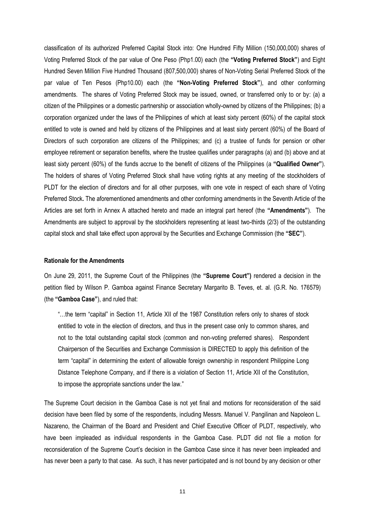classification of its authorized Preferred Capital Stock into: One Hundred Fifty Million (150,000,000) shares of Voting Preferred Stock of the par value of One Peso (Php1.00) each (the **"Voting Preferred Stock"**) and Eight Hundred Seven Million Five Hundred Thousand (807,500,000) shares of Non-Voting Serial Preferred Stock of the par value of Ten Pesos (Php10.00) each (the **"Non-Voting Preferred Stock"**), and other conforming amendments. The shares of Voting Preferred Stock may be issued, owned, or transferred only to or by: (a) a citizen of the Philippines or a domestic partnership or association wholly-owned by citizens of the Philippines; (b) a corporation organized under the laws of the Philippines of which at least sixty percent (60%) of the capital stock entitled to vote is owned and held by citizens of the Philippines and at least sixty percent (60%) of the Board of Directors of such corporation are citizens of the Philippines; and (c) a trustee of funds for pension or other employee retirement or separation benefits, where the trustee qualifies under paragraphs (a) and (b) above and at least sixty percent (60%) of the funds accrue to the benefit of citizens of the Philippines (a **"Qualified Owner"**). The holders of shares of Voting Preferred Stock shall have voting rights at any meeting of the stockholders of PLDT for the election of directors and for all other purposes, with one vote in respect of each share of Voting Preferred Stock**.** The aforementioned amendments and other conforming amendments in the Seventh Article of the Articles are set forth in Annex A attached hereto and made an integral part hereof (the **"Amendments"**). The Amendments are subject to approval by the stockholders representing at least two-thirds (2/3) of the outstanding capital stock and shall take effect upon approval by the Securities and Exchange Commission (the **"SEC"**).

#### **Rationale for the Amendments**

On June 29, 2011, the Supreme Court of the Philippines (the **"Supreme Court")** rendered a decision in the petition filed by Wilson P. Gamboa against Finance Secretary Margarito B. Teves, et. al. (G.R. No. 176579) (the **"Gamboa Case"**), and ruled that:

"…the term "capital" in Section 11, Article XII of the 1987 Constitution refers only to shares of stock entitled to vote in the election of directors, and thus in the present case only to common shares, and not to the total outstanding capital stock (common and non-voting preferred shares). Respondent Chairperson of the Securities and Exchange Commission is DIRECTED to apply this definition of the term "capital" in determining the extent of allowable foreign ownership in respondent Philippine Long Distance Telephone Company, and if there is a violation of Section 11, Article XII of the Constitution, to impose the appropriate sanctions under the law."

The Supreme Court decision in the Gamboa Case is not yet final and motions for reconsideration of the said decision have been filed by some of the respondents, including Messrs. Manuel V. Pangilinan and Napoleon L. Nazareno, the Chairman of the Board and President and Chief Executive Officer of PLDT, respectively, who have been impleaded as individual respondents in the Gamboa Case. PLDT did not file a motion for reconsideration of the Supreme Court's decision in the Gamboa Case since it has never been impleaded and has never been a party to that case. As such, it has never participated and is not bound by any decision or other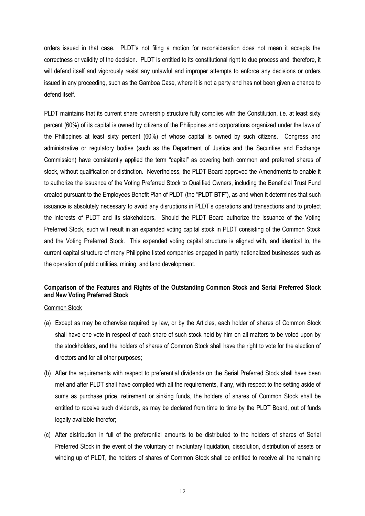orders issued in that case. PLDT's not filing a motion for reconsideration does not mean it accepts the correctness or validity of the decision. PLDT is entitled to its constitutional right to due process and, therefore, it will defend itself and vigorously resist any unlawful and improper attempts to enforce any decisions or orders issued in any proceeding, such as the Gamboa Case, where it is not a party and has not been given a chance to defend itself.

PLDT maintains that its current share ownership structure fully complies with the Constitution, i.e. at least sixty percent (60%) of its capital is owned by citizens of the Philippines and corporations organized under the laws of the Philippines at least sixty percent (60%) of whose capital is owned by such citizens. Congress and administrative or regulatory bodies (such as the Department of Justice and the Securities and Exchange Commission) have consistently applied the term "capital" as covering both common and preferred shares of stock, without qualification or distinction. Nevertheless, the PLDT Board approved the Amendments to enable it to authorize the issuance of the Voting Preferred Stock to Qualified Owners, including the Beneficial Trust Fund created pursuant to the Employees Benefit Plan of PLDT (the "**PLDT BTF**"), as and when it determines that such issuance is absolutely necessary to avoid any disruptions in PLDT's operations and transactions and to protect the interests of PLDT and its stakeholders. Should the PLDT Board authorize the issuance of the Voting Preferred Stock, such will result in an expanded voting capital stock in PLDT consisting of the Common Stock and the Voting Preferred Stock. This expanded voting capital structure is aligned with, and identical to, the current capital structure of many Philippine listed companies engaged in partly nationalized businesses such as the operation of public utilities, mining, and land development.

## **Comparison of the Features and Rights of the Outstanding Common Stock and Serial Preferred Stock and New Voting Preferred Stock**

#### Common Stock

- (a) Except as may be otherwise required by law, or by the Articles, each holder of shares of Common Stock shall have one vote in respect of each share of such stock held by him on all matters to be voted upon by the stockholders, and the holders of shares of Common Stock shall have the right to vote for the election of directors and for all other purposes;
- (b) After the requirements with respect to preferential dividends on the Serial Preferred Stock shall have been met and after PLDT shall have complied with all the requirements, if any, with respect to the setting aside of sums as purchase price, retirement or sinking funds, the holders of shares of Common Stock shall be entitled to receive such dividends, as may be declared from time to time by the PLDT Board, out of funds legally available therefor;
- (c) After distribution in full of the preferential amounts to be distributed to the holders of shares of Serial Preferred Stock in the event of the voluntary or involuntary liquidation, dissolution, distribution of assets or winding up of PLDT, the holders of shares of Common Stock shall be entitled to receive all the remaining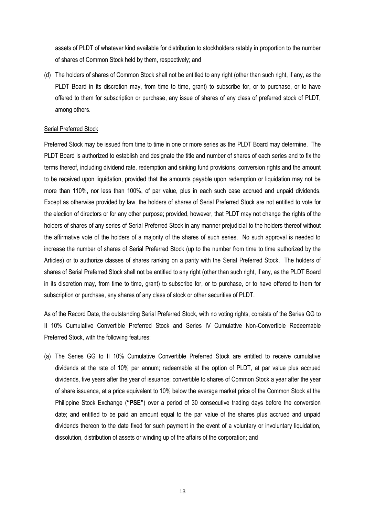assets of PLDT of whatever kind available for distribution to stockholders ratably in proportion to the number of shares of Common Stock held by them, respectively; and

(d) The holders of shares of Common Stock shall not be entitled to any right (other than such right, if any, as the PLDT Board in its discretion may, from time to time, grant) to subscribe for, or to purchase, or to have offered to them for subscription or purchase, any issue of shares of any class of preferred stock of PLDT, among others.

#### Serial Preferred Stock

Preferred Stock may be issued from time to time in one or more series as the PLDT Board may determine. The PLDT Board is authorized to establish and designate the title and number of shares of each series and to fix the terms thereof, including dividend rate, redemption and sinking fund provisions, conversion rights and the amount to be received upon liquidation, provided that the amounts payable upon redemption or liquidation may not be more than 110%, nor less than 100%, of par value, plus in each such case accrued and unpaid dividends. Except as otherwise provided by law, the holders of shares of Serial Preferred Stock are not entitled to vote for the election of directors or for any other purpose; provided, however, that PLDT may not change the rights of the holders of shares of any series of Serial Preferred Stock in any manner prejudicial to the holders thereof without the affirmative vote of the holders of a majority of the shares of such series. No such approval is needed to increase the number of shares of Serial Preferred Stock (up to the number from time to time authorized by the Articles) or to authorize classes of shares ranking on a parity with the Serial Preferred Stock. The holders of shares of Serial Preferred Stock shall not be entitled to any right (other than such right, if any, as the PLDT Board in its discretion may, from time to time, grant) to subscribe for, or to purchase, or to have offered to them for subscription or purchase, any shares of any class of stock or other securities of PLDT.

As of the Record Date, the outstanding Serial Preferred Stock, with no voting rights, consists of the Series GG to II 10% Cumulative Convertible Preferred Stock and Series IV Cumulative Non-Convertible Redeemable Preferred Stock, with the following features:

(a) The Series GG to II 10% Cumulative Convertible Preferred Stock are entitled to receive cumulative dividends at the rate of 10% per annum; redeemable at the option of PLDT, at par value plus accrued dividends, five years after the year of issuance; convertible to shares of Common Stock a year after the year of share issuance, at a price equivalent to 10% below the average market price of the Common Stock at the Philippine Stock Exchange (**"PSE"**) over a period of 30 consecutive trading days before the conversion date; and entitled to be paid an amount equal to the par value of the shares plus accrued and unpaid dividends thereon to the date fixed for such payment in the event of a voluntary or involuntary liquidation, dissolution, distribution of assets or winding up of the affairs of the corporation; and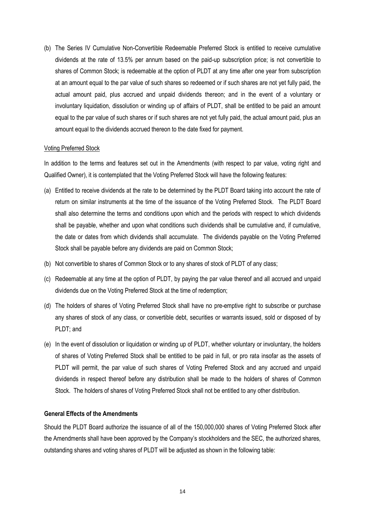(b) The Series IV Cumulative Non-Convertible Redeemable Preferred Stock is entitled to receive cumulative dividends at the rate of 13.5% per annum based on the paid-up subscription price; is not convertible to shares of Common Stock; is redeemable at the option of PLDT at any time after one year from subscription at an amount equal to the par value of such shares so redeemed or if such shares are not yet fully paid, the actual amount paid, plus accrued and unpaid dividends thereon; and in the event of a voluntary or involuntary liquidation, dissolution or winding up of affairs of PLDT, shall be entitled to be paid an amount equal to the par value of such shares or if such shares are not yet fully paid, the actual amount paid, plus an amount equal to the dividends accrued thereon to the date fixed for payment.

#### Voting Preferred Stock

In addition to the terms and features set out in the Amendments (with respect to par value, voting right and Qualified Owner), it is contemplated that the Voting Preferred Stock will have the following features:

- (a) Entitled to receive dividends at the rate to be determined by the PLDT Board taking into account the rate of return on similar instruments at the time of the issuance of the Voting Preferred Stock. The PLDT Board shall also determine the terms and conditions upon which and the periods with respect to which dividends shall be payable, whether and upon what conditions such dividends shall be cumulative and, if cumulative, the date or dates from which dividends shall accumulate. The dividends payable on the Voting Preferred Stock shall be payable before any dividends are paid on Common Stock;
- (b) Not convertible to shares of Common Stock or to any shares of stock of PLDT of any class;
- (c) Redeemable at any time at the option of PLDT, by paying the par value thereof and all accrued and unpaid dividends due on the Voting Preferred Stock at the time of redemption;
- (d) The holders of shares of Voting Preferred Stock shall have no pre-emptive right to subscribe or purchase any shares of stock of any class, or convertible debt, securities or warrants issued, sold or disposed of by PLDT; and
- (e) In the event of dissolution or liquidation or winding up of PLDT, whether voluntary or involuntary, the holders of shares of Voting Preferred Stock shall be entitled to be paid in full, or pro rata insofar as the assets of PLDT will permit, the par value of such shares of Voting Preferred Stock and any accrued and unpaid dividends in respect thereof before any distribution shall be made to the holders of shares of Common Stock. The holders of shares of Voting Preferred Stock shall not be entitled to any other distribution.

#### **General Effects of the Amendments**

Should the PLDT Board authorize the issuance of all of the 150,000,000 shares of Voting Preferred Stock after the Amendments shall have been approved by the Company's stockholders and the SEC, the authorized shares, outstanding shares and voting shares of PLDT will be adjusted as shown in the following table: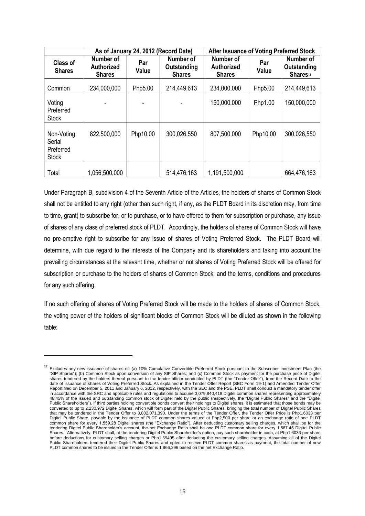|                                                   | As of January 24, 2012 (Record Date)            |              | <b>After Issuance of Voting Preferred Stock</b> |                                                 |              |                                                  |
|---------------------------------------------------|-------------------------------------------------|--------------|-------------------------------------------------|-------------------------------------------------|--------------|--------------------------------------------------|
| Class of<br><b>Shares</b>                         | Number of<br><b>Authorized</b><br><b>Shares</b> | Par<br>Value | Number of<br>Outstanding<br><b>Shares</b>       | Number of<br><b>Authorized</b><br><b>Shares</b> | Par<br>Value | Number of<br>Outstanding<br>Shares <sup>12</sup> |
| Common                                            | 234,000,000                                     | Php5.00      | 214,449,613                                     | 234,000,000                                     | Php5.00      | 214,449,613                                      |
| Voting<br>Preferred<br><b>Stock</b>               |                                                 |              |                                                 | 150,000,000                                     | Php1.00      | 150,000,000                                      |
| Non-Voting<br>Serial<br>Preferred<br><b>Stock</b> | 822,500,000                                     | Php10.00     | 300,026,550                                     | 807,500,000                                     | Php10.00     | 300,026,550                                      |
| Total                                             | 1,056,500,000                                   |              | 514,476,163                                     | 1,191,500,000                                   |              | 664,476,163                                      |

Under Paragraph B, subdivision 4 of the Seventh Article of the Articles, the holders of shares of Common Stock shall not be entitled to any right (other than such right, if any, as the PLDT Board in its discretion may, from time to time, grant) to subscribe for, or to purchase, or to have offered to them for subscription or purchase, any issue of shares of any class of preferred stock of PLDT. Accordingly, the holders of shares of Common Stock will have no pre-emptive right to subscribe for any issue of shares of Voting Preferred Stock. The PLDT Board will determine, with due regard to the interests of the Company and its shareholders and taking into account the prevailing circumstances at the relevant time, whether or not shares of Voting Preferred Stock will be offered for subscription or purchase to the holders of shares of Common Stock, and the terms, conditions and procedures for any such offering.

If no such offering of shares of Voting Preferred Stock will be made to the holders of shares of Common Stock, the voting power of the holders of significant blocks of Common Stock will be diluted as shown in the following table:

<sup>&</sup>lt;sup>12</sup> Excludes any new issuance of shares of: (a) 10% Cumulative Convertible Preferred Stock pursuant to the Subscriber Investment Plan (the "SIP Shares"); (b) Common Stock upon conversion of any SIP Shares; and (c) Common Stock as payment for the purchase price of Digitel shares tendered by the holders thereof pursuant to the tender officer conducted by PLDT (the "Tender Offer"), from the Record Date to the date of issuance of shares of Voting Preferred Stock. As explained in the Tender Offer Report (SEC Form 19-1) and Amended Tender Offer Report filed on December 5, 2011 and January 6, 2012, respectively, with the SEC and the PSE, PLDT shall conduct a mandatory tender offer in accordance with the SRC and applicable rules and regulations to acquire 3,079,840,418 Digitel common shares representing approximately 48.45% of the issued and outstanding common stock of Digitel held by the public (respectively, the "Digitel Public Shares" and the "Digitel Public Shareholders"). If third parties holding convertible bonds convert their holdings to Digitel shares, it is estimated that those bonds may be converted to up to 2,230,972 Digitel Shares, which will form part of the Digitel Public Shares, bringing the total number of Digitel Public Shares that may be tendered in the Tender Offer to 3,082,071,390. Under the terms of the Tender Offer, the Tender Offer Price is Php1.6033 per Digitel Public Share, payable by the issuance of PLDT common shares valued at Php2,500 per share or an exchange ratio of one PLDT common share for every 1,559.28 Digitel shares (the "Exchange Ratio"). After deducting customary selling charges, which shall be for the tendering Digitel Public Shareholder's account, the net Exchange Ratio shall be one PLDT common share for every 1,567.45 Digitel Public Shares. Alternatively, PLDT shall, at the tendering Digitel Public Shareholder's option, pay such shareholder in cash, at Php1.6033 per share before deductions for customary selling charges or Php1.59495 after deducting the customary selling charges. Assuming all of the Digitel Public Shareholders tendered their Digitel Public Shares and opted to receive PLDT common shares as payment, the total number of new PLDT common shares to be issued in the Tender Offer is 1,966,296 based on the net Exchange Ratio.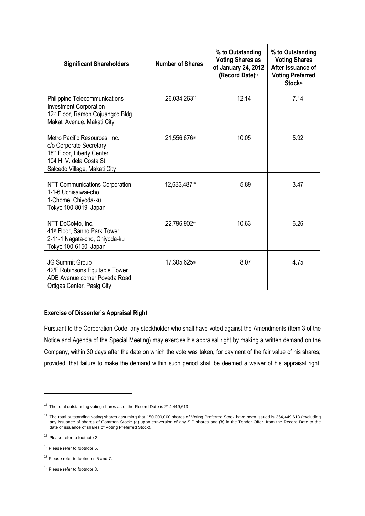| <b>Significant Shareholders</b>                                                                                                                      | <b>Number of Shares</b>  | % to Outstanding<br><b>Voting Shares as</b><br>of January 24, 2012<br>(Record Date) <sup>13</sup> | % to Outstanding<br><b>Voting Shares</b><br>After Issuance of<br><b>Voting Preferred</b><br>Stock <sup>14</sup> |
|------------------------------------------------------------------------------------------------------------------------------------------------------|--------------------------|---------------------------------------------------------------------------------------------------|-----------------------------------------------------------------------------------------------------------------|
| <b>Philippine Telecommunications</b><br><b>Investment Corporation</b><br>12 <sup>th</sup> Floor, Ramon Cojuangco Bldg.<br>Makati Avenue, Makati City | 26,034,26315             | 12.14                                                                                             | 7.14                                                                                                            |
| Metro Pacific Resources, Inc.<br>c/o Corporate Secretary<br>18th Floor, Liberty Center<br>104 H. V. dela Costa St.<br>Salcedo Village, Makati City   | 21,556,67615             | 10.05                                                                                             | 5.92                                                                                                            |
| <b>NTT Communications Corporation</b><br>1-1-6 Uchisaiwai-cho<br>1-Chome, Chiyoda-ku<br>Tokyo 100-8019, Japan                                        | 12,633,48716             | 5.89                                                                                              | 3.47                                                                                                            |
| NTT DoCoMo, Inc.<br>41 <sup>st</sup> Floor, Sanno Park Tower<br>2-11-1 Nagata-cho, Chiyoda-ku<br>Tokyo 100-6150, Japan                               | 22,796,90217             | 10.63                                                                                             | 6.26                                                                                                            |
| <b>JG Summit Group</b><br>42/F Robinsons Equitable Tower<br>ADB Avenue corner Poveda Road<br>Ortigas Center, Pasig City                              | 17,305,625 <sup>18</sup> | 8.07                                                                                              | 4.75                                                                                                            |

#### **Exercise of Dissenter's Appraisal Right**

Pursuant to the Corporation Code, any stockholder who shall have voted against the Amendments (Item 3 of the Notice and Agenda of the Special Meeting) may exercise his appraisal right by making a written demand on the Company, within 30 days after the date on which the vote was taken, for payment of the fair value of his shares; provided, that failure to make the demand within such period shall be deemed a waiver of his appraisal right.

<sup>13</sup> The total outstanding voting shares as of the Record Date is 214,449,613**.**

<sup>&</sup>lt;sup>14</sup> The total outstanding voting shares assuming that 150,000,000 shares of Voting Preferred Stock have been issued is 364,449,613 (excluding any issuance of shares of Common Stock: (a) upon conversion of any SIP shares and (b) in the Tender Offer, from the Record Date to the date of issuance of shares of Voting Preferred Stock).

<sup>&</sup>lt;sup>15</sup> Please refer to footnote 2.

<sup>&</sup>lt;sup>16</sup> Please refer to footnote 5.

<sup>&</sup>lt;sup>17</sup> Please refer to footnotes 5 and 7.

<sup>18</sup> Please refer to footnote 8.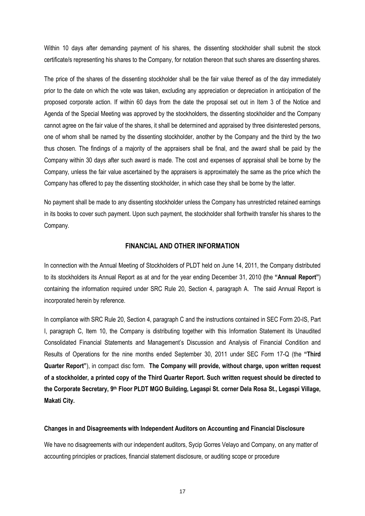Within 10 days after demanding payment of his shares, the dissenting stockholder shall submit the stock certificate/s representing his shares to the Company, for notation thereon that such shares are dissenting shares.

The price of the shares of the dissenting stockholder shall be the fair value thereof as of the day immediately prior to the date on which the vote was taken, excluding any appreciation or depreciation in anticipation of the proposed corporate action. If within 60 days from the date the proposal set out in Item 3 of the Notice and Agenda of the Special Meeting was approved by the stockholders, the dissenting stockholder and the Company cannot agree on the fair value of the shares, it shall be determined and appraised by three disinterested persons, one of whom shall be named by the dissenting stockholder, another by the Company and the third by the two thus chosen. The findings of a majority of the appraisers shall be final, and the award shall be paid by the Company within 30 days after such award is made. The cost and expenses of appraisal shall be borne by the Company, unless the fair value ascertained by the appraisers is approximately the same as the price which the Company has offered to pay the dissenting stockholder, in which case they shall be borne by the latter.

No payment shall be made to any dissenting stockholder unless the Company has unrestricted retained earnings in its books to cover such payment. Upon such payment, the stockholder shall forthwith transfer his shares to the Company.

#### **FINANCIAL AND OTHER INFORMATION**

In connection with the Annual Meeting of Stockholders of PLDT held on June 14, 2011, the Company distributed to its stockholders its Annual Report as at and for the year ending December 31, 2010 **(**the **"Annual Report"**) containing the information required under SRC Rule 20, Section 4, paragraph A. The said Annual Report is incorporated herein by reference.

In compliance with SRC Rule 20, Section 4, paragraph C and the instructions contained in SEC Form 20-IS, Part I, paragraph C, Item 10, the Company is distributing together with this Information Statement its Unaudited Consolidated Financial Statements and Management's Discussion and Analysis of Financial Condition and Results of Operations for the nine months ended September 30, 2011 under SEC Form 17-Q (the **"Third Quarter Report"**), in compact disc form. **The Company will provide, without charge, upon written request of a stockholder, a printed copy of the Third Quarter Report. Such written request should be directed to the Corporate Secretary, 9th Floor PLDT MGO Building, Legaspi St. corner Dela Rosa St., Legaspi Village, Makati City.**

#### **Changes in and Disagreements with Independent Auditors on Accounting and Financial Disclosure**

We have no disagreements with our independent auditors, Sycip Gorres Velayo and Company, on any matter of accounting principles or practices, financial statement disclosure, or auditing scope or procedure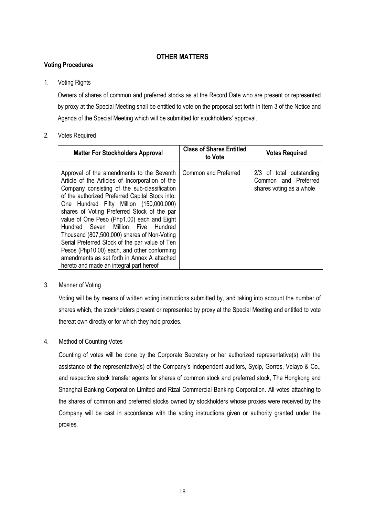## **OTHER MATTERS**

## **Voting Procedures**

## 1. Voting Rights

Owners of shares of common and preferred stocks as at the Record Date who are present or represented by proxy at the Special Meeting shall be entitled to vote on the proposal set forth in Item 3 of the Notice and Agenda of the Special Meeting which will be submitted for stockholders' approval.

## 2. Votes Required

| <b>Matter For Stockholders Approval</b>                                                                                                                                                                                                                                                                                                                                                                                                                                                                                                                                                                                 | <b>Class of Shares Entitled</b><br>to Vote | <b>Votes Required</b>                                                        |
|-------------------------------------------------------------------------------------------------------------------------------------------------------------------------------------------------------------------------------------------------------------------------------------------------------------------------------------------------------------------------------------------------------------------------------------------------------------------------------------------------------------------------------------------------------------------------------------------------------------------------|--------------------------------------------|------------------------------------------------------------------------------|
| Approval of the amendments to the Seventh<br>Article of the Articles of Incorporation of the<br>Company consisting of the sub-classification<br>of the authorized Preferred Capital Stock into:<br>One Hundred Fifty Million (150,000,000)<br>shares of Voting Preferred Stock of the par<br>value of One Peso (Php1.00) each and Eight<br>Hundred Seven Million Five Hundred<br>Thousand (807,500,000) shares of Non-Voting<br>Serial Preferred Stock of the par value of Ten<br>Pesos (Php10.00) each, and other conforming<br>amendments as set forth in Annex A attached<br>hereto and made an integral part hereof | <b>Common and Preferred</b>                | 2/3 of total outstanding<br>Common and Preferred<br>shares voting as a whole |

## 3. Manner of Voting

Voting will be by means of written voting instructions submitted by, and taking into account the number of shares which, the stockholders present or represented by proxy at the Special Meeting and entitled to vote thereat own directly or for which they hold proxies.

## 4. Method of Counting Votes

Counting of votes will be done by the Corporate Secretary or her authorized representative(s) with the assistance of the representative(s) of the Company's independent auditors, Sycip, Gorres, Velayo & Co., and respective stock transfer agents for shares of common stock and preferred stock, The Hongkong and Shanghai Banking Corporation Limited and Rizal Commercial Banking Corporation. All votes attaching to the shares of common and preferred stocks owned by stockholders whose proxies were received by the Company will be cast in accordance with the voting instructions given or authority granted under the proxies.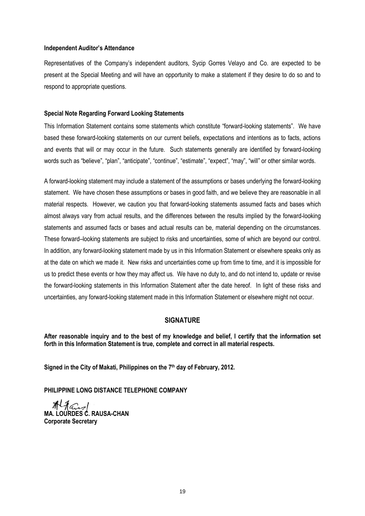#### **Independent Auditor's Attendance**

Representatives of the Company's independent auditors, Sycip Gorres Velayo and Co. are expected to be present at the Special Meeting and will have an opportunity to make a statement if they desire to do so and to respond to appropriate questions.

#### **Special Note Regarding Forward Looking Statements**

This Information Statement contains some statements which constitute "forward-looking statements". We have based these forward-looking statements on our current beliefs, expectations and intentions as to facts, actions and events that will or may occur in the future. Such statements generally are identified by forward-looking words such as "believe", "plan", "anticipate", "continue", "estimate", "expect", "may", "will" or other similar words.

A forward-looking statement may include a statement of the assumptions or bases underlying the forward-looking statement. We have chosen these assumptions or bases in good faith, and we believe they are reasonable in all material respects. However, we caution you that forward-looking statements assumed facts and bases which almost always vary from actual results, and the differences between the results implied by the forward-looking statements and assumed facts or bases and actual results can be, material depending on the circumstances. These forward–looking statements are subject to risks and uncertainties, some of which are beyond our control. In addition, any forward-looking statement made by us in this Information Statement or elsewhere speaks only as at the date on which we made it. New risks and uncertainties come up from time to time, and it is impossible for us to predict these events or how they may affect us. We have no duty to, and do not intend to, update or revise the forward-looking statements in this Information Statement after the date hereof. In light of these risks and uncertainties, any forward-looking statement made in this Information Statement or elsewhere might not occur.

## **SIGNATURE**

**After reasonable inquiry and to the best of my knowledge and belief, I certify that the information set forth in this Information Statement is true, complete and correct in all material respects.** 

**Signed in the City of Makati, Philippines on the 7 th day of February, 2012.**

**PHILIPPINE LONG DISTANCE TELEPHONE COMPANY**

**MA. LOURDES C. RAUSA-CHAN Corporate Secretary**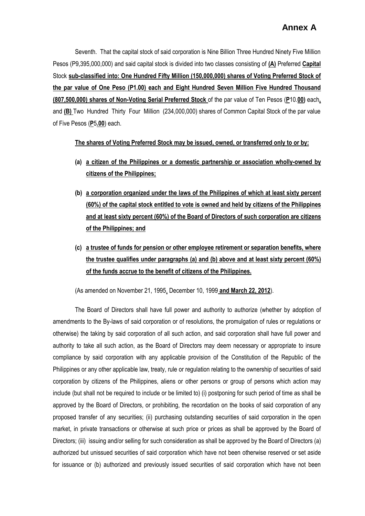Seventh. That the capital stock of said corporation is Nine Billion Three Hundred Ninety Five Million Pesos (P9,395,000,000) and said capital stock is divided into two classes consisting of **(A)** Preferred **Capital** Stock **sub-classified into: One Hundred Fifty Million (150,000,000) shares of Voting Preferred Stock of the par value of One Peso (P1.00) each and Eight Hundred Seven Million Five Hundred Thousand (807,500,000) shares of Non-Voting Serial Preferred Stock** of the par value of Ten Pesos (**P**10.**00)** each**,** and **(B)** Two Hundred Thirty Four Million (234,000,000) shares of Common Capital Stock of the par value of Five Pesos (**P**5**.00**) each.

## **The shares of Voting Preferred Stock may be issued, owned, or transferred only to or by:**

- **(a) a citizen of the Philippines or a domestic partnership or association wholly-owned by citizens of the Philippines;**
- **(b) a corporation organized under the laws of the Philippines of which at least sixty percent (60%) of the capital stock entitled to vote is owned and held by citizens of the Philippines and at least sixty percent (60%) of the Board of Directors of such corporation are citizens of the Philippines; and**
- **(c) a trustee of funds for pension or other employee retirement or separation benefits, where the trustee qualifies under paragraphs (a) and (b) above and at least sixty percent (60%) of the funds accrue to the benefit of citizens of the Philippines.**

(As amended on November 21, 1995, December 10, 1999 **and March 22, 2012**).

The Board of Directors shall have full power and authority to authorize (whether by adoption of amendments to the By-laws of said corporation or of resolutions, the promulgation of rules or regulations or otherwise) the taking by said corporation of all such action, and said corporation shall have full power and authority to take all such action, as the Board of Directors may deem necessary or appropriate to insure compliance by said corporation with any applicable provision of the Constitution of the Republic of the Philippines or any other applicable law, treaty, rule or regulation relating to the ownership of securities of said corporation by citizens of the Philippines, aliens or other persons or group of persons which action may include (but shall not be required to include or be limited to) (i) postponing for such period of time as shall be approved by the Board of Directors, or prohibiting, the recordation on the books of said corporation of any proposed transfer of any securities; (ii) purchasing outstanding securities of said corporation in the open market, in private transactions or otherwise at such price or prices as shall be approved by the Board of Directors; (iii) issuing and/or selling for such consideration as shall be approved by the Board of Directors (a) authorized but unissued securities of said corporation which have not been otherwise reserved or set aside for issuance or (b) authorized and previously issued securities of said corporation which have not been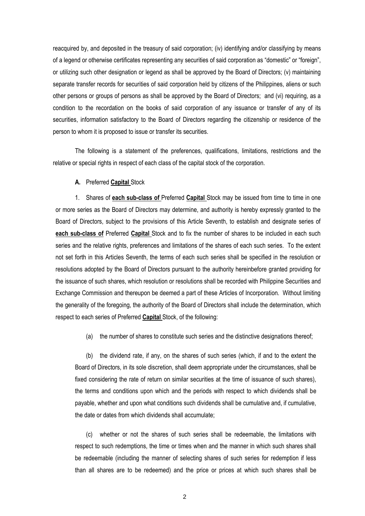reacquired by, and deposited in the treasury of said corporation; (iv) identifying and/or classifying by means of a legend or otherwise certificates representing any securities of said corporation as "domestic" or "foreign", or utilizing such other designation or legend as shall be approved by the Board of Directors; (v) maintaining separate transfer records for securities of said corporation held by citizens of the Philippines, aliens or such other persons or groups of persons as shall be approved by the Board of Directors; and (vi) requiring, as a condition to the recordation on the books of said corporation of any issuance or transfer of any of its securities, information satisfactory to the Board of Directors regarding the citizenship or residence of the person to whom it is proposed to issue or transfer its securities.

The following is a statement of the preferences, qualifications, limitations, restrictions and the relative or special rights in respect of each class of the capital stock of the corporation.

#### **A.** Preferred **Capital** Stock

1. Shares of **each sub-class of** Preferred **Capital** Stock may be issued from time to time in one or more series as the Board of Directors may determine, and authority is hereby expressly granted to the Board of Directors, subject to the provisions of this Article Seventh, to establish and designate series of **each sub-class of** Preferred **Capital** Stock and to fix the number of shares to be included in each such series and the relative rights, preferences and limitations of the shares of each such series. To the extent not set forth in this Articles Seventh, the terms of each such series shall be specified in the resolution or resolutions adopted by the Board of Directors pursuant to the authority hereinbefore granted providing for the issuance of such shares, which resolution or resolutions shall be recorded with Philippine Securities and Exchange Commission and thereupon be deemed a part of these Articles of Incorporation. Without limiting the generality of the foregoing, the authority of the Board of Directors shall include the determination, which respect to each series of Preferred **Capital** Stock, of the following:

(a) the number of shares to constitute such series and the distinctive designations thereof;

(b) the dividend rate, if any, on the shares of such series (which, if and to the extent the Board of Directors, in its sole discretion, shall deem appropriate under the circumstances, shall be fixed considering the rate of return on similar securities at the time of issuance of such shares), the terms and conditions upon which and the periods with respect to which dividends shall be payable, whether and upon what conditions such dividends shall be cumulative and, if cumulative, the date or dates from which dividends shall accumulate;

(c) whether or not the shares of such series shall be redeemable, the limitations with respect to such redemptions, the time or times when and the manner in which such shares shall be redeemable (including the manner of selecting shares of such series for redemption if less than all shares are to be redeemed) and the price or prices at which such shares shall be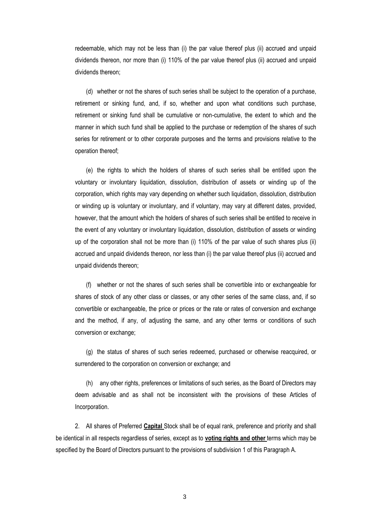redeemable, which may not be less than (i) the par value thereof plus (ii) accrued and unpaid dividends thereon, nor more than (i) 110% of the par value thereof plus (ii) accrued and unpaid dividends thereon;

(d) whether or not the shares of such series shall be subject to the operation of a purchase, retirement or sinking fund, and, if so, whether and upon what conditions such purchase, retirement or sinking fund shall be cumulative or non-cumulative, the extent to which and the manner in which such fund shall be applied to the purchase or redemption of the shares of such series for retirement or to other corporate purposes and the terms and provisions relative to the operation thereof;

(e) the rights to which the holders of shares of such series shall be entitled upon the voluntary or involuntary liquidation, dissolution, distribution of assets or winding up of the corporation, which rights may vary depending on whether such liquidation, dissolution, distribution or winding up is voluntary or involuntary, and if voluntary, may vary at different dates, provided, however, that the amount which the holders of shares of such series shall be entitled to receive in the event of any voluntary or involuntary liquidation, dissolution, distribution of assets or winding up of the corporation shall not be more than (i) 110% of the par value of such shares plus (ii) accrued and unpaid dividends thereon, nor less than (i) the par value thereof plus (ii) accrued and unpaid dividends thereon;

(f) whether or not the shares of such series shall be convertible into or exchangeable for shares of stock of any other class or classes, or any other series of the same class, and, if so convertible or exchangeable, the price or prices or the rate or rates of conversion and exchange and the method, if any, of adjusting the same, and any other terms or conditions of such conversion or exchange;

(g) the status of shares of such series redeemed, purchased or otherwise reacquired, or surrendered to the corporation on conversion or exchange; and

(h) any other rights, preferences or limitations of such series, as the Board of Directors may deem advisable and as shall not be inconsistent with the provisions of these Articles of Incorporation.

2. All shares of Preferred **Capital** Stock shall be of equal rank, preference and priority and shall be identical in all respects regardless of series, except as to **voting rights and other** terms which may be specified by the Board of Directors pursuant to the provisions of subdivision 1 of this Paragraph A.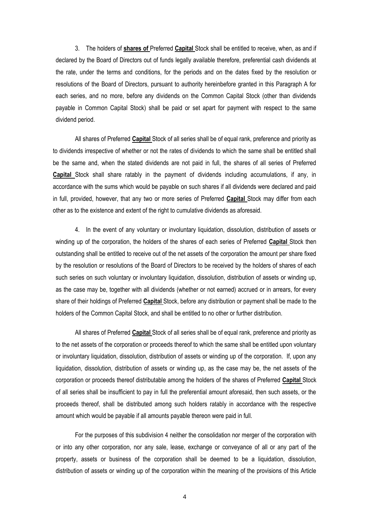3. The holders of **shares of** Preferred **Capital** Stock shall be entitled to receive, when, as and if declared by the Board of Directors out of funds legally available therefore, preferential cash dividends at the rate, under the terms and conditions, for the periods and on the dates fixed by the resolution or resolutions of the Board of Directors, pursuant to authority hereinbefore granted in this Paragraph A for each series, and no more, before any dividends on the Common Capital Stock (other than dividends payable in Common Capital Stock) shall be paid or set apart for payment with respect to the same dividend period.

All shares of Preferred **Capital** Stock of all series shall be of equal rank, preference and priority as to dividends irrespective of whether or not the rates of dividends to which the same shall be entitled shall be the same and, when the stated dividends are not paid in full, the shares of all series of Preferred **Capital** Stock shall share ratably in the payment of dividends including accumulations, if any, in accordance with the sums which would be payable on such shares if all dividends were declared and paid in full, provided, however, that any two or more series of Preferred **Capital** Stock may differ from each other as to the existence and extent of the right to cumulative dividends as aforesaid.

4. In the event of any voluntary or involuntary liquidation, dissolution, distribution of assets or winding up of the corporation, the holders of the shares of each series of Preferred **Capital** Stock then outstanding shall be entitled to receive out of the net assets of the corporation the amount per share fixed by the resolution or resolutions of the Board of Directors to be received by the holders of shares of each such series on such voluntary or involuntary liquidation, dissolution, distribution of assets or winding up, as the case may be, together with all dividends (whether or not earned) accrued or in arrears, for every share of their holdings of Preferred **Capital** Stock, before any distribution or payment shall be made to the holders of the Common Capital Stock, and shall be entitled to no other or further distribution.

All shares of Preferred **Capital** Stock of all series shall be of equal rank, preference and priority as to the net assets of the corporation or proceeds thereof to which the same shall be entitled upon voluntary or involuntary liquidation, dissolution, distribution of assets or winding up of the corporation. If, upon any liquidation, dissolution, distribution of assets or winding up, as the case may be, the net assets of the corporation or proceeds thereof distributable among the holders of the shares of Preferred **Capital** Stock of all series shall be insufficient to pay in full the preferential amount aforesaid, then such assets, or the proceeds thereof, shall be distributed among such holders ratably in accordance with the respective amount which would be payable if all amounts payable thereon were paid in full.

For the purposes of this subdivision 4 neither the consolidation nor merger of the corporation with or into any other corporation, nor any sale, lease, exchange or conveyance of all or any part of the property, assets or business of the corporation shall be deemed to be a liquidation, dissolution, distribution of assets or winding up of the corporation within the meaning of the provisions of this Article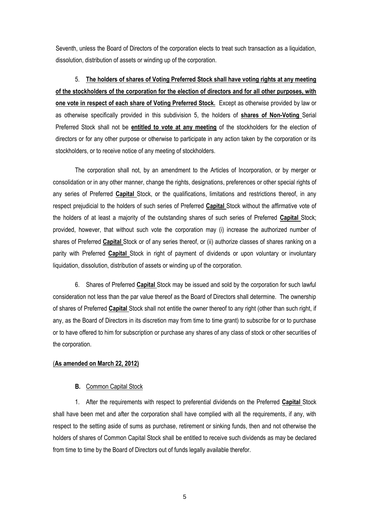Seventh, unless the Board of Directors of the corporation elects to treat such transaction as a liquidation, dissolution, distribution of assets or winding up of the corporation.

5. **The holders of shares of Voting Preferred Stock shall have voting rights at any meeting of the stockholders of the corporation for the election of directors and for all other purposes, with one vote in respect of each share of Voting Preferred Stock.** Except as otherwise provided by law or as otherwise specifically provided in this subdivision 5, the holders of **shares of Non-Voting** Serial Preferred Stock shall not be **entitled to vote at any meeting** of the stockholders for the election of directors or for any other purpose or otherwise to participate in any action taken by the corporation or its stockholders, or to receive notice of any meeting of stockholders.

The corporation shall not, by an amendment to the Articles of Incorporation, or by merger or consolidation or in any other manner, change the rights, designations, preferences or other special rights of any series of Preferred **Capital** Stock, or the qualifications, limitations and restrictions thereof, in any respect prejudicial to the holders of such series of Preferred **Capital** Stock without the affirmative vote of the holders of at least a majority of the outstanding shares of such series of Preferred **Capital** Stock; provided, however, that without such vote the corporation may (i) increase the authorized number of shares of Preferred **Capital** Stock or of any series thereof, or (ii) authorize classes of shares ranking on a parity with Preferred **Capital** Stock in right of payment of dividends or upon voluntary or involuntary liquidation, dissolution, distribution of assets or winding up of the corporation.

6. Shares of Preferred **Capital** Stock may be issued and sold by the corporation for such lawful consideration not less than the par value thereof as the Board of Directors shall determine. The ownership of shares of Preferred **Capital** Stock shall not entitle the owner thereof to any right (other than such right, if any, as the Board of Directors in its discretion may from time to time grant) to subscribe for or to purchase or to have offered to him for subscription or purchase any shares of any class of stock or other securities of the corporation.

#### (**As amended on March 22, 2012)**

**B.** Common Capital Stock

1. After the requirements with respect to preferential dividends on the Preferred **Capital** Stock shall have been met and after the corporation shall have complied with all the requirements, if any, with respect to the setting aside of sums as purchase, retirement or sinking funds, then and not otherwise the holders of shares of Common Capital Stock shall be entitled to receive such dividends as may be declared from time to time by the Board of Directors out of funds legally available therefor.